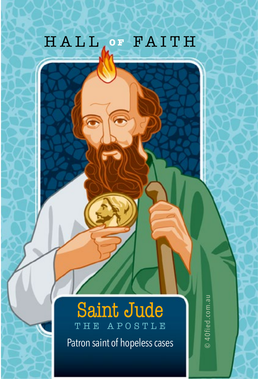## HALL, OF FAITH

## **Saint Jude**

Patron saint of hopeless cases

© 40fied.com.au